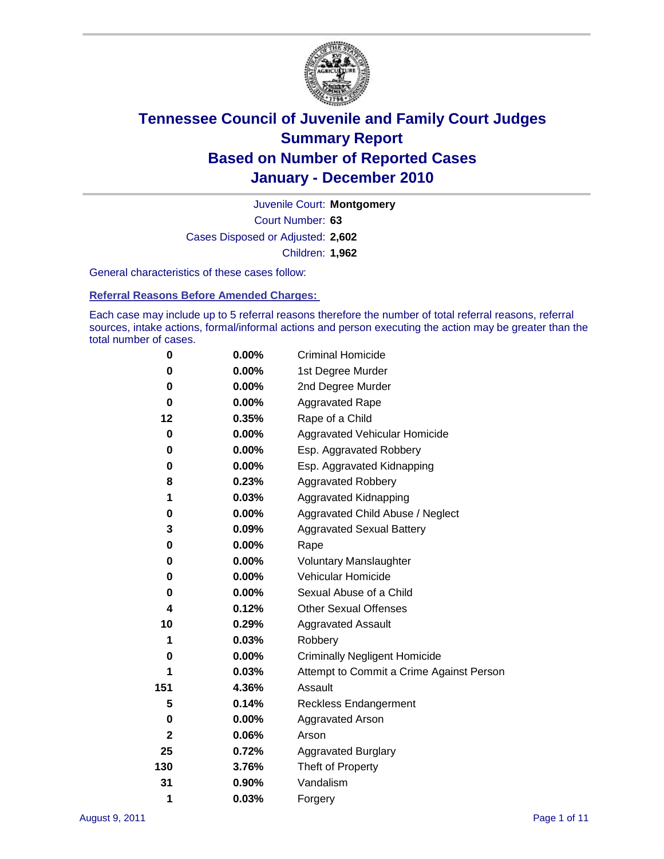

Court Number: **63** Juvenile Court: **Montgomery** Cases Disposed or Adjusted: **2,602** Children: **1,962**

General characteristics of these cases follow:

**Referral Reasons Before Amended Charges:** 

Each case may include up to 5 referral reasons therefore the number of total referral reasons, referral sources, intake actions, formal/informal actions and person executing the action may be greater than the total number of cases.

| 0                       | $0.00\%$ | <b>Criminal Homicide</b>                 |
|-------------------------|----------|------------------------------------------|
| 0                       | 0.00%    | 1st Degree Murder                        |
| 0                       | $0.00\%$ | 2nd Degree Murder                        |
| 0                       | $0.00\%$ | <b>Aggravated Rape</b>                   |
| 12                      | 0.35%    | Rape of a Child                          |
| 0                       | 0.00%    | Aggravated Vehicular Homicide            |
| 0                       | 0.00%    | Esp. Aggravated Robbery                  |
| 0                       | $0.00\%$ | Esp. Aggravated Kidnapping               |
| 8                       | 0.23%    | <b>Aggravated Robbery</b>                |
| 1                       | 0.03%    | Aggravated Kidnapping                    |
| 0                       | 0.00%    | Aggravated Child Abuse / Neglect         |
| 3                       | 0.09%    | <b>Aggravated Sexual Battery</b>         |
| 0                       | 0.00%    | Rape                                     |
| 0                       | $0.00\%$ | <b>Voluntary Manslaughter</b>            |
| 0                       | 0.00%    | Vehicular Homicide                       |
| 0                       | 0.00%    | Sexual Abuse of a Child                  |
| $\overline{\mathbf{4}}$ | 0.12%    | <b>Other Sexual Offenses</b>             |
| 10                      | 0.29%    | <b>Aggravated Assault</b>                |
| 1                       | 0.03%    | Robbery                                  |
| 0                       | 0.00%    | <b>Criminally Negligent Homicide</b>     |
| 1                       | 0.03%    | Attempt to Commit a Crime Against Person |
| 151                     | 4.36%    | Assault                                  |
| 5                       | 0.14%    | <b>Reckless Endangerment</b>             |
| 0                       | 0.00%    | <b>Aggravated Arson</b>                  |
| $\mathbf{2}$            | 0.06%    | Arson                                    |
| 25                      | 0.72%    | <b>Aggravated Burglary</b>               |
| 130                     | 3.76%    | Theft of Property                        |
| 31                      | 0.90%    | Vandalism                                |
| 1                       | 0.03%    | Forgery                                  |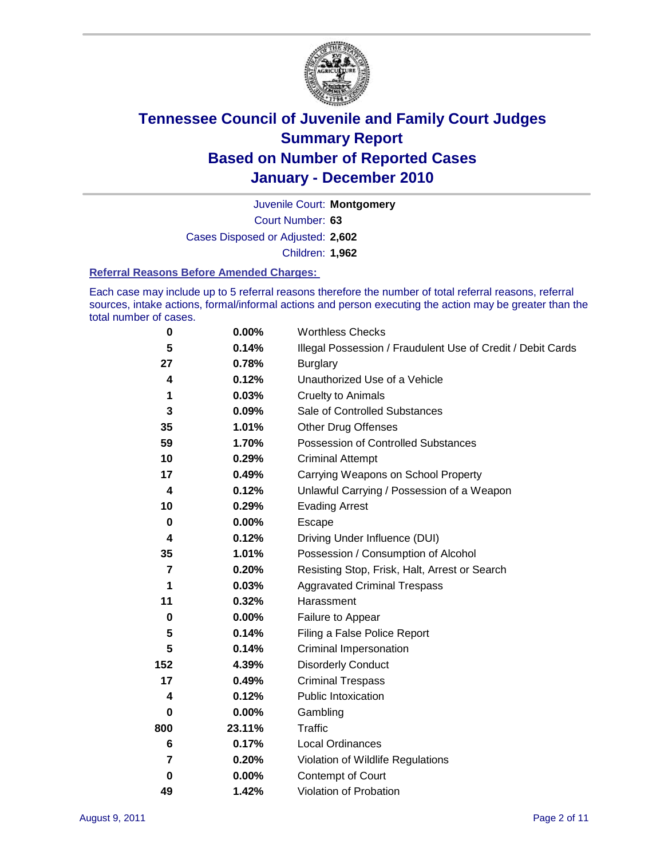

Court Number: **63** Juvenile Court: **Montgomery** Cases Disposed or Adjusted: **2,602** Children: **1,962**

#### **Referral Reasons Before Amended Charges:**

Each case may include up to 5 referral reasons therefore the number of total referral reasons, referral sources, intake actions, formal/informal actions and person executing the action may be greater than the total number of cases.

| 0        | 0.00%    | <b>Worthless Checks</b>                                     |
|----------|----------|-------------------------------------------------------------|
| 5        | 0.14%    | Illegal Possession / Fraudulent Use of Credit / Debit Cards |
| 27       | 0.78%    | <b>Burglary</b>                                             |
| 4        | 0.12%    | Unauthorized Use of a Vehicle                               |
| 1        | 0.03%    | <b>Cruelty to Animals</b>                                   |
| 3        | 0.09%    | Sale of Controlled Substances                               |
| 35       | 1.01%    | <b>Other Drug Offenses</b>                                  |
| 59       | 1.70%    | Possession of Controlled Substances                         |
| 10       | 0.29%    | <b>Criminal Attempt</b>                                     |
| 17       | 0.49%    | Carrying Weapons on School Property                         |
| 4        | 0.12%    | Unlawful Carrying / Possession of a Weapon                  |
| 10       | 0.29%    | <b>Evading Arrest</b>                                       |
| 0        | 0.00%    | Escape                                                      |
| 4        | 0.12%    | Driving Under Influence (DUI)                               |
| 35       | 1.01%    | Possession / Consumption of Alcohol                         |
| 7        | 0.20%    | Resisting Stop, Frisk, Halt, Arrest or Search               |
| 1        | 0.03%    | <b>Aggravated Criminal Trespass</b>                         |
| 11       | 0.32%    | Harassment                                                  |
| $\bf{0}$ | 0.00%    | Failure to Appear                                           |
| 5        | 0.14%    | Filing a False Police Report                                |
| 5        | 0.14%    | Criminal Impersonation                                      |
| 152      | 4.39%    | <b>Disorderly Conduct</b>                                   |
| 17       | 0.49%    | <b>Criminal Trespass</b>                                    |
| 4        | 0.12%    | <b>Public Intoxication</b>                                  |
| 0        | $0.00\%$ | Gambling                                                    |
| 800      | 23.11%   | <b>Traffic</b>                                              |
| 6        | 0.17%    | <b>Local Ordinances</b>                                     |
| 7        | 0.20%    | Violation of Wildlife Regulations                           |
| 0        | $0.00\%$ | Contempt of Court                                           |
| 49       | 1.42%    | Violation of Probation                                      |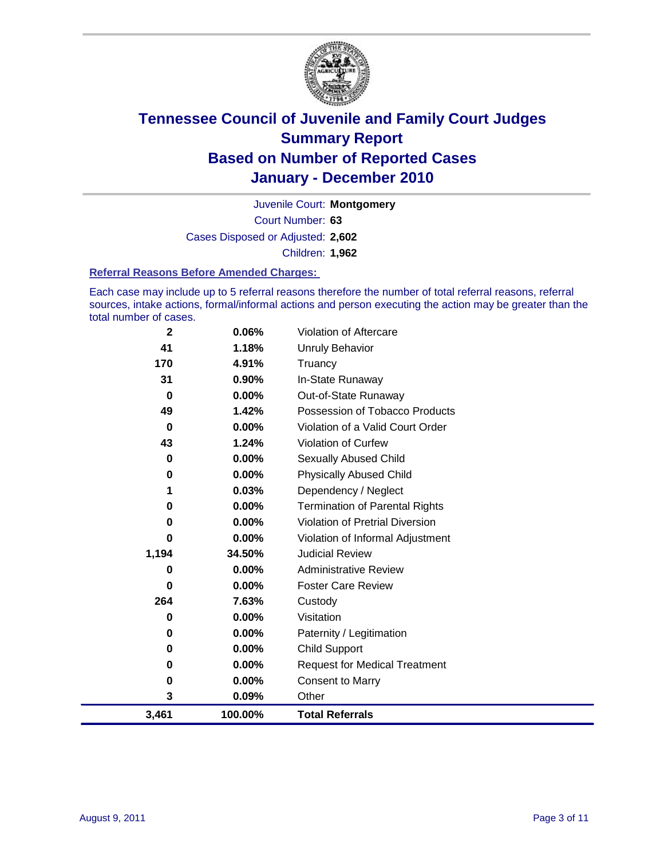

Court Number: **63** Juvenile Court: **Montgomery** Cases Disposed or Adjusted: **2,602** Children: **1,962**

#### **Referral Reasons Before Amended Charges:**

Each case may include up to 5 referral reasons therefore the number of total referral reasons, referral sources, intake actions, formal/informal actions and person executing the action may be greater than the total number of cases.

| $\mathbf 2$ | 0.06%   | Violation of Aftercare                 |
|-------------|---------|----------------------------------------|
| 41          | 1.18%   | <b>Unruly Behavior</b>                 |
| 170         | 4.91%   | Truancy                                |
| 31          | 0.90%   | In-State Runaway                       |
| $\bf{0}$    | 0.00%   | Out-of-State Runaway                   |
| 49          | 1.42%   | Possession of Tobacco Products         |
| 0           | 0.00%   | Violation of a Valid Court Order       |
| 43          | 1.24%   | <b>Violation of Curfew</b>             |
| $\bf{0}$    | 0.00%   | <b>Sexually Abused Child</b>           |
| 0           | 0.00%   | <b>Physically Abused Child</b>         |
| 1           | 0.03%   | Dependency / Neglect                   |
| 0           | 0.00%   | <b>Termination of Parental Rights</b>  |
| 0           | 0.00%   | <b>Violation of Pretrial Diversion</b> |
| 0           | 0.00%   | Violation of Informal Adjustment       |
| 1,194       | 34.50%  | <b>Judicial Review</b>                 |
| 0           | 0.00%   | <b>Administrative Review</b>           |
| 0           | 0.00%   | <b>Foster Care Review</b>              |
| 264         | 7.63%   | Custody                                |
| 0           | 0.00%   | Visitation                             |
| 0           | 0.00%   | Paternity / Legitimation               |
| 0           | 0.00%   | Child Support                          |
| 0           | 0.00%   | <b>Request for Medical Treatment</b>   |
| 0           | 0.00%   | <b>Consent to Marry</b>                |
| 3           | 0.09%   | Other                                  |
| 3,461       | 100.00% | <b>Total Referrals</b>                 |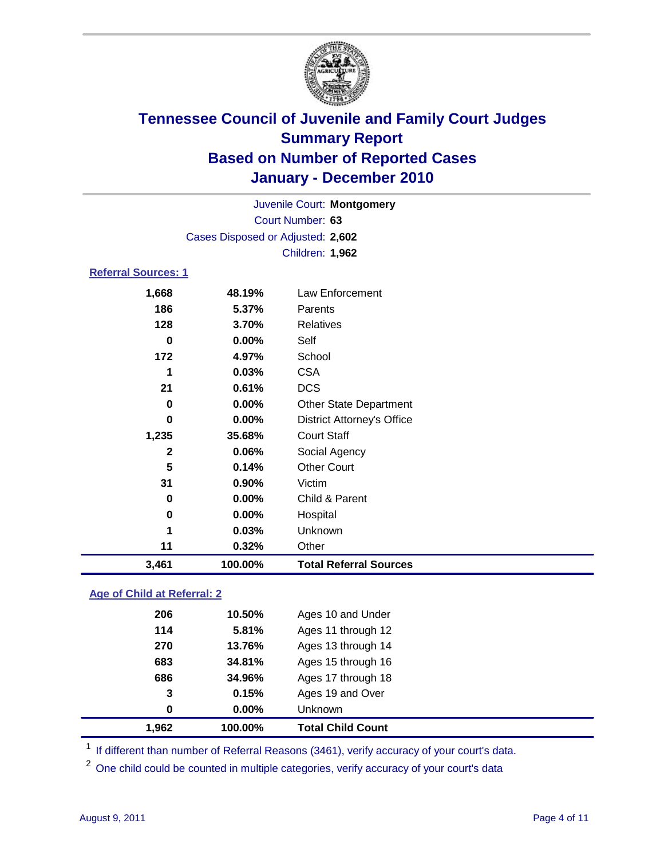

| Juvenile Court: Montgomery        |                 |                                   |  |  |  |
|-----------------------------------|-----------------|-----------------------------------|--|--|--|
| Court Number: 63                  |                 |                                   |  |  |  |
| Cases Disposed or Adjusted: 2,602 |                 |                                   |  |  |  |
|                                   | Children: 1,962 |                                   |  |  |  |
| <b>Referral Sources: 1</b>        |                 |                                   |  |  |  |
| 1,668                             | 48.19%          | Law Enforcement                   |  |  |  |
| 186                               | 5.37%           | Parents                           |  |  |  |
| 128                               | 3.70%           | <b>Relatives</b>                  |  |  |  |
| $\mathbf 0$                       | 0.00%           | Self                              |  |  |  |
| 172                               | 4.97%           | School                            |  |  |  |
| 1                                 | 0.03%           | <b>CSA</b>                        |  |  |  |
| 21                                | 0.61%           | <b>DCS</b>                        |  |  |  |
| 0                                 | 0.00%           | Other State Department            |  |  |  |
| $\bf{0}$                          | 0.00%           | <b>District Attorney's Office</b> |  |  |  |
| 1,235                             | 35.68%          | <b>Court Staff</b>                |  |  |  |
| $\mathbf{2}$                      | 0.06%           | Social Agency                     |  |  |  |
| 5                                 | 0.14%           | <b>Other Court</b>                |  |  |  |
| 31                                | 0.90%           | Victim                            |  |  |  |
| 0                                 | 0.00%           | Child & Parent                    |  |  |  |
| $\bf{0}$                          | 0.00%           | Hospital                          |  |  |  |
| 1                                 | 0.03%           | Unknown                           |  |  |  |
| 11                                | 0.32%           | Other                             |  |  |  |
| 3,461                             | 100.00%         | <b>Total Referral Sources</b>     |  |  |  |
|                                   |                 |                                   |  |  |  |

### **Age of Child at Referral: 2**

| 1,962 | 100.00%           | <b>Total Child Count</b> |
|-------|-------------------|--------------------------|
|       | 0.00%<br>$\bf{0}$ | <b>Unknown</b>           |
|       | 0.15%<br>3        | Ages 19 and Over         |
| 686   | 34.96%            | Ages 17 through 18       |
| 683   | 34.81%            | Ages 15 through 16       |
| 270   | 13.76%            | Ages 13 through 14       |
| 114   | 5.81%             | Ages 11 through 12       |
| 206   | 10.50%            | Ages 10 and Under        |
|       |                   |                          |

<sup>1</sup> If different than number of Referral Reasons (3461), verify accuracy of your court's data.

<sup>2</sup> One child could be counted in multiple categories, verify accuracy of your court's data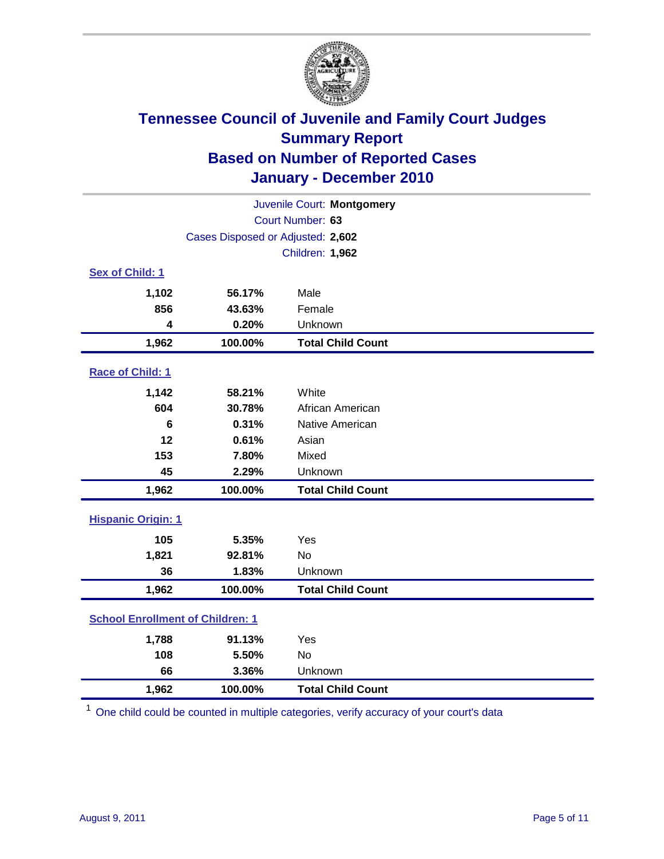

| Juvenile Court: Montgomery              |                                   |                          |  |  |
|-----------------------------------------|-----------------------------------|--------------------------|--|--|
| Court Number: 63                        |                                   |                          |  |  |
|                                         | Cases Disposed or Adjusted: 2,602 |                          |  |  |
|                                         | Children: 1,962                   |                          |  |  |
| Sex of Child: 1                         |                                   |                          |  |  |
| 1,102                                   | 56.17%                            | Male                     |  |  |
| 856                                     | 43.63%                            | Female                   |  |  |
| 4                                       | 0.20%                             | Unknown                  |  |  |
| 1,962                                   | 100.00%                           | <b>Total Child Count</b> |  |  |
| Race of Child: 1                        |                                   |                          |  |  |
| 1,142                                   | 58.21%                            | White                    |  |  |
| 604                                     | 30.78%                            | African American         |  |  |
| $6\phantom{1}6$                         | 0.31%                             | Native American          |  |  |
| 12                                      | 0.61%                             | Asian                    |  |  |
| 153                                     | 7.80%                             | Mixed                    |  |  |
| 45                                      | 2.29%                             | Unknown                  |  |  |
| 1,962                                   | 100.00%                           | <b>Total Child Count</b> |  |  |
| <b>Hispanic Origin: 1</b>               |                                   |                          |  |  |
| 105                                     | 5.35%                             | Yes                      |  |  |
| 1,821                                   | 92.81%                            | <b>No</b>                |  |  |
| 36                                      | 1.83%                             | Unknown                  |  |  |
| 1,962                                   | 100.00%                           | <b>Total Child Count</b> |  |  |
| <b>School Enrollment of Children: 1</b> |                                   |                          |  |  |
| 1,788                                   | 91.13%                            | Yes                      |  |  |
| 108                                     | 5.50%                             | No                       |  |  |
| 66                                      | 3.36%                             | Unknown                  |  |  |
| 1,962                                   | 100.00%                           | <b>Total Child Count</b> |  |  |

<sup>1</sup> One child could be counted in multiple categories, verify accuracy of your court's data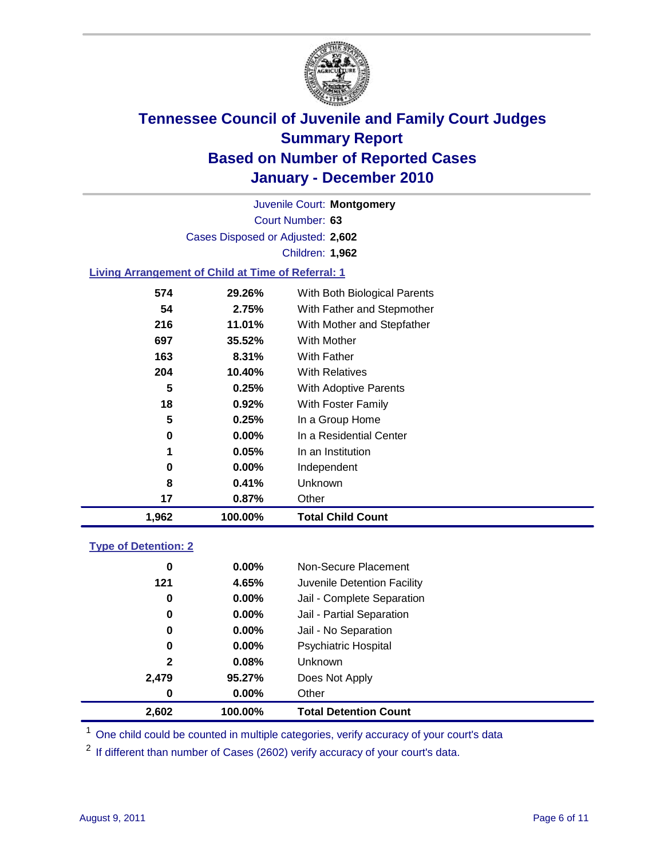

Court Number: **63** Juvenile Court: **Montgomery** Cases Disposed or Adjusted: **2,602** Children: **1,962**

### **Living Arrangement of Child at Time of Referral: 1**

| 1,962 | 100.00%  | <b>Total Child Count</b>     |
|-------|----------|------------------------------|
| 17    | $0.87\%$ | Other                        |
| 8     | 0.41%    | <b>Unknown</b>               |
| 0     | $0.00\%$ | Independent                  |
| 1     | 0.05%    | In an Institution            |
| 0     | $0.00\%$ | In a Residential Center      |
| 5     | 0.25%    | In a Group Home              |
| 18    | 0.92%    | With Foster Family           |
| 5     | 0.25%    | With Adoptive Parents        |
| 204   | 10.40%   | <b>With Relatives</b>        |
| 163   | 8.31%    | With Father                  |
| 697   | 35.52%   | <b>With Mother</b>           |
| 216   | 11.01%   | With Mother and Stepfather   |
| 54    | 2.75%    | With Father and Stepmother   |
| 574   | 29.26%   | With Both Biological Parents |
|       |          |                              |

#### **Type of Detention: 2**

| 2,602        | 100.00%  | <b>Total Detention Count</b> |  |
|--------------|----------|------------------------------|--|
| 0            | 0.00%    | Other                        |  |
| 2,479        | 95.27%   | Does Not Apply               |  |
| $\mathbf{2}$ | 0.08%    | Unknown                      |  |
| 0            | 0.00%    | <b>Psychiatric Hospital</b>  |  |
| 0            | 0.00%    | Jail - No Separation         |  |
| 0            | $0.00\%$ | Jail - Partial Separation    |  |
| 0            | 0.00%    | Jail - Complete Separation   |  |
| 121          | 4.65%    | Juvenile Detention Facility  |  |
| 0            | $0.00\%$ | Non-Secure Placement         |  |
|              |          |                              |  |

<sup>1</sup> One child could be counted in multiple categories, verify accuracy of your court's data

<sup>2</sup> If different than number of Cases (2602) verify accuracy of your court's data.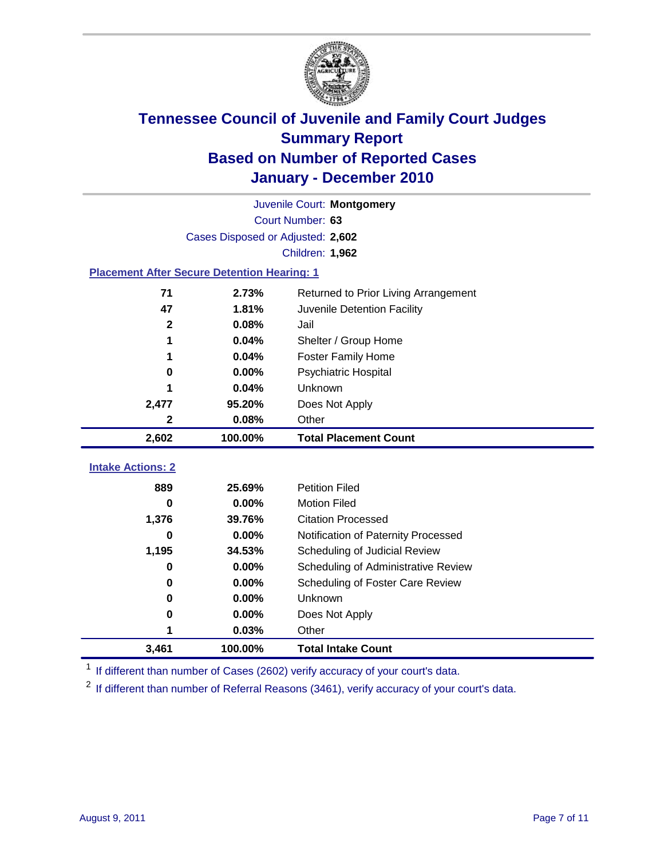

| Juvenile Court: Montgomery      |                                                    |                                      |  |  |  |
|---------------------------------|----------------------------------------------------|--------------------------------------|--|--|--|
|                                 | Court Number: 63                                   |                                      |  |  |  |
|                                 | Cases Disposed or Adjusted: 2,602                  |                                      |  |  |  |
|                                 | Children: 1,962                                    |                                      |  |  |  |
|                                 | <b>Placement After Secure Detention Hearing: 1</b> |                                      |  |  |  |
| 71                              | 2.73%                                              | Returned to Prior Living Arrangement |  |  |  |
| 47                              | 1.81%                                              | Juvenile Detention Facility          |  |  |  |
| $\mathbf{2}$                    | 0.08%                                              | Jail                                 |  |  |  |
| 1                               | 0.04%                                              | Shelter / Group Home                 |  |  |  |
| 1                               | 0.04%                                              | <b>Foster Family Home</b>            |  |  |  |
| $\bf{0}$                        | 0.00%                                              | <b>Psychiatric Hospital</b>          |  |  |  |
|                                 | 0.04%                                              | Unknown                              |  |  |  |
| 2,477                           | 95.20%                                             | Does Not Apply                       |  |  |  |
| 2                               | 0.08%                                              | Other                                |  |  |  |
| 2,602                           | 100.00%                                            | <b>Total Placement Count</b>         |  |  |  |
|                                 |                                                    |                                      |  |  |  |
|                                 |                                                    |                                      |  |  |  |
| <b>Intake Actions: 2</b><br>889 | 25.69%                                             | <b>Petition Filed</b>                |  |  |  |
| 0                               | 0.00%                                              | <b>Motion Filed</b>                  |  |  |  |
| 1,376                           | 39.76%                                             | <b>Citation Processed</b>            |  |  |  |
| 0                               | 0.00%                                              | Notification of Paternity Processed  |  |  |  |
| 1,195                           | 34.53%                                             | Scheduling of Judicial Review        |  |  |  |
| $\bf{0}$                        | 0.00%                                              | Scheduling of Administrative Review  |  |  |  |
| 0                               | 0.00%                                              | Scheduling of Foster Care Review     |  |  |  |
| $\bf{0}$                        | 0.00%                                              | Unknown                              |  |  |  |
| 0                               | 0.00%                                              | Does Not Apply                       |  |  |  |
| 1                               | 0.03%                                              | Other                                |  |  |  |

<sup>1</sup> If different than number of Cases (2602) verify accuracy of your court's data.

<sup>2</sup> If different than number of Referral Reasons (3461), verify accuracy of your court's data.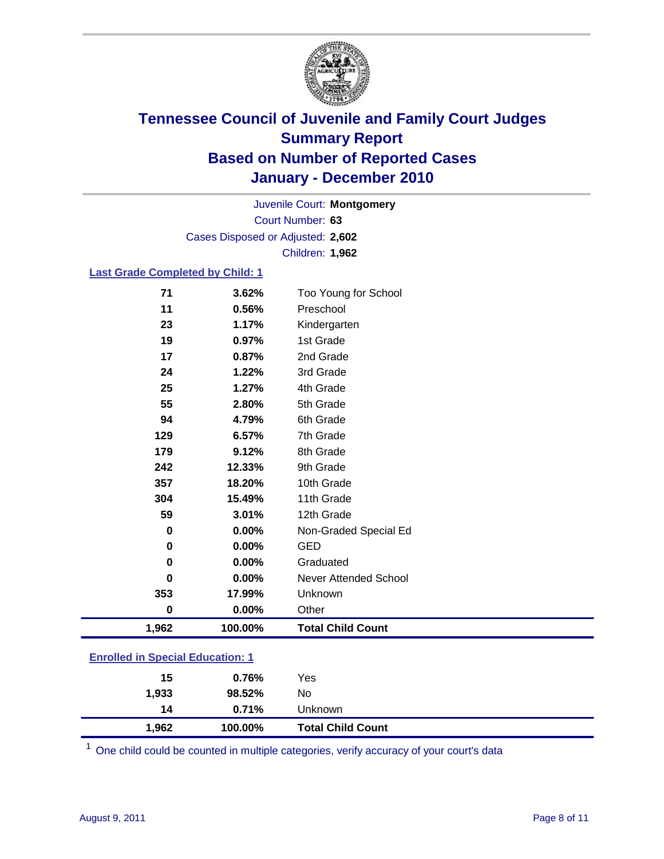

Court Number: **63** Juvenile Court: **Montgomery** Cases Disposed or Adjusted: **2,602** Children: **1,962**

### **Last Grade Completed by Child: 1**

| 71                                      | 3.62%   | Too Young for School         |  |
|-----------------------------------------|---------|------------------------------|--|
| 11                                      | 0.56%   | Preschool                    |  |
| 23                                      | 1.17%   | Kindergarten                 |  |
| 19                                      | 0.97%   | 1st Grade                    |  |
| 17                                      | 0.87%   | 2nd Grade                    |  |
| 24                                      | 1.22%   | 3rd Grade                    |  |
| 25                                      | 1.27%   | 4th Grade                    |  |
| 55                                      | 2.80%   | 5th Grade                    |  |
| 94                                      | 4.79%   | 6th Grade                    |  |
| 129                                     | 6.57%   | 7th Grade                    |  |
| 179                                     | 9.12%   | 8th Grade                    |  |
| 242                                     | 12.33%  | 9th Grade                    |  |
| 357                                     | 18.20%  | 10th Grade                   |  |
| 304                                     | 15.49%  | 11th Grade                   |  |
| 59                                      | 3.01%   | 12th Grade                   |  |
| 0                                       | 0.00%   | Non-Graded Special Ed        |  |
| 0                                       | 0.00%   | <b>GED</b>                   |  |
| 0                                       | 0.00%   | Graduated                    |  |
| $\bf{0}$                                | 0.00%   | <b>Never Attended School</b> |  |
| 353                                     | 17.99%  | Unknown                      |  |
| $\bf{0}$                                | 0.00%   | Other                        |  |
| 1,962                                   | 100.00% | <b>Total Child Count</b>     |  |
| <b>Enrolled in Special Education: 1</b> |         |                              |  |

| 1,962                              | 100.00% | <b>Total Child Count</b> |  |  |
|------------------------------------|---------|--------------------------|--|--|
| 14                                 | 0.71%   | Unknown                  |  |  |
| 1,933                              | 98.52%  | No.                      |  |  |
| 15                                 | 0.76%   | Yes                      |  |  |
| __________________________________ |         |                          |  |  |

One child could be counted in multiple categories, verify accuracy of your court's data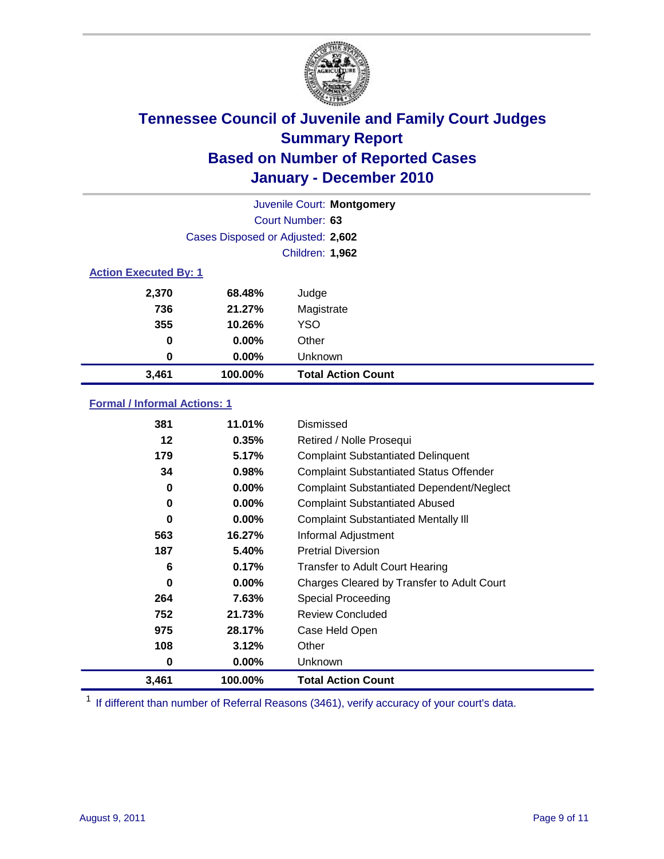

| Juvenile Court: Montgomery   |                                   |                           |  |  |  |
|------------------------------|-----------------------------------|---------------------------|--|--|--|
|                              | Court Number: 63                  |                           |  |  |  |
|                              | Cases Disposed or Adjusted: 2,602 |                           |  |  |  |
|                              | <b>Children: 1,962</b>            |                           |  |  |  |
| <b>Action Executed By: 1</b> |                                   |                           |  |  |  |
| 2,370                        | 68.48%                            | Judge                     |  |  |  |
| 736                          | 21.27%                            | Magistrate                |  |  |  |
| 355                          | 10.26%                            | <b>YSO</b>                |  |  |  |
| 0                            | $0.00\%$                          | Other                     |  |  |  |
| 0                            | 0.00%                             | Unknown                   |  |  |  |
| 3,461                        | 100.00%                           | <b>Total Action Count</b> |  |  |  |

### **Formal / Informal Actions: 1**

| 3,461 | 100.00%  | <b>Total Action Count</b>                        |
|-------|----------|--------------------------------------------------|
| 0     | $0.00\%$ | <b>Unknown</b>                                   |
| 108   | 3.12%    | Other                                            |
| 975   | 28.17%   | Case Held Open                                   |
| 752   | 21.73%   | <b>Review Concluded</b>                          |
| 264   | 7.63%    | <b>Special Proceeding</b>                        |
| 0     | $0.00\%$ | Charges Cleared by Transfer to Adult Court       |
| 6     | 0.17%    | <b>Transfer to Adult Court Hearing</b>           |
| 187   | 5.40%    | <b>Pretrial Diversion</b>                        |
| 563   | 16.27%   | Informal Adjustment                              |
| 0     | $0.00\%$ | <b>Complaint Substantiated Mentally III</b>      |
| 0     | $0.00\%$ | <b>Complaint Substantiated Abused</b>            |
| 0     | $0.00\%$ | <b>Complaint Substantiated Dependent/Neglect</b> |
| 34    | 0.98%    | <b>Complaint Substantiated Status Offender</b>   |
| 179   | 5.17%    | <b>Complaint Substantiated Delinquent</b>        |
| 12    | 0.35%    | Retired / Nolle Prosequi                         |
| 381   | 11.01%   | Dismissed                                        |

<sup>1</sup> If different than number of Referral Reasons (3461), verify accuracy of your court's data.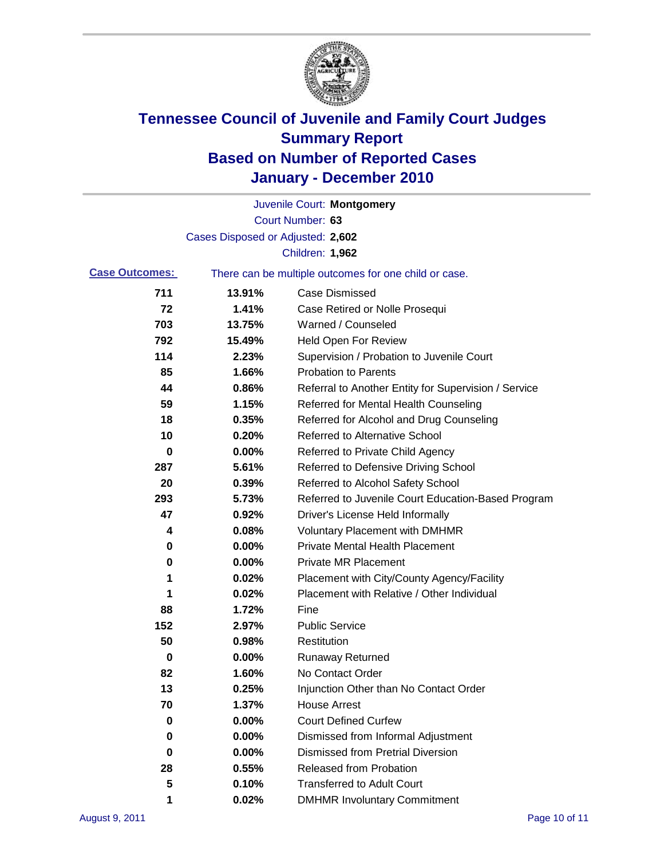

|                                                                                |                                   | Juvenile Court: Montgomery                           |  |
|--------------------------------------------------------------------------------|-----------------------------------|------------------------------------------------------|--|
|                                                                                |                                   | Court Number: 63                                     |  |
|                                                                                | Cases Disposed or Adjusted: 2,602 |                                                      |  |
|                                                                                |                                   | Children: 1,962                                      |  |
| <b>Case Outcomes:</b><br>There can be multiple outcomes for one child or case. |                                   |                                                      |  |
| 711                                                                            | 13.91%                            | <b>Case Dismissed</b>                                |  |
| 72                                                                             | 1.41%                             | Case Retired or Nolle Prosequi                       |  |
| 703                                                                            | 13.75%                            | Warned / Counseled                                   |  |
| 792                                                                            | 15.49%                            | <b>Held Open For Review</b>                          |  |
| 114                                                                            | 2.23%                             | Supervision / Probation to Juvenile Court            |  |
| 85                                                                             | 1.66%                             | <b>Probation to Parents</b>                          |  |
| 44                                                                             | 0.86%                             | Referral to Another Entity for Supervision / Service |  |
| 59                                                                             | 1.15%                             | Referred for Mental Health Counseling                |  |
| 18                                                                             | 0.35%                             | Referred for Alcohol and Drug Counseling             |  |
| 10                                                                             | 0.20%                             | <b>Referred to Alternative School</b>                |  |
| 0                                                                              | 0.00%                             | Referred to Private Child Agency                     |  |
| 287                                                                            | 5.61%                             | Referred to Defensive Driving School                 |  |
| 20                                                                             | 0.39%                             | Referred to Alcohol Safety School                    |  |
| 293                                                                            | 5.73%                             | Referred to Juvenile Court Education-Based Program   |  |
| 47                                                                             | 0.92%                             | Driver's License Held Informally                     |  |
| 4                                                                              | 0.08%                             | <b>Voluntary Placement with DMHMR</b>                |  |
| 0                                                                              | 0.00%                             | <b>Private Mental Health Placement</b>               |  |
| 0                                                                              | 0.00%                             | <b>Private MR Placement</b>                          |  |
| 1                                                                              | 0.02%                             | Placement with City/County Agency/Facility           |  |
| 1                                                                              | 0.02%                             | Placement with Relative / Other Individual           |  |
| 88                                                                             | 1.72%                             | Fine                                                 |  |
| 152                                                                            | 2.97%                             | <b>Public Service</b>                                |  |
| 50                                                                             | 0.98%                             | Restitution                                          |  |
| 0                                                                              | 0.00%                             | <b>Runaway Returned</b>                              |  |
| 82                                                                             | 1.60%                             | No Contact Order                                     |  |
| 13                                                                             | 0.25%                             | Injunction Other than No Contact Order               |  |
| 70                                                                             | 1.37%                             | <b>House Arrest</b>                                  |  |
| 0                                                                              | 0.00%                             | <b>Court Defined Curfew</b>                          |  |
| 0                                                                              | 0.00%                             | Dismissed from Informal Adjustment                   |  |
| 0                                                                              | 0.00%                             | <b>Dismissed from Pretrial Diversion</b>             |  |
| 28                                                                             | 0.55%                             | <b>Released from Probation</b>                       |  |
| 5                                                                              | 0.10%                             | <b>Transferred to Adult Court</b>                    |  |
| 1                                                                              | 0.02%                             | <b>DMHMR Involuntary Commitment</b>                  |  |